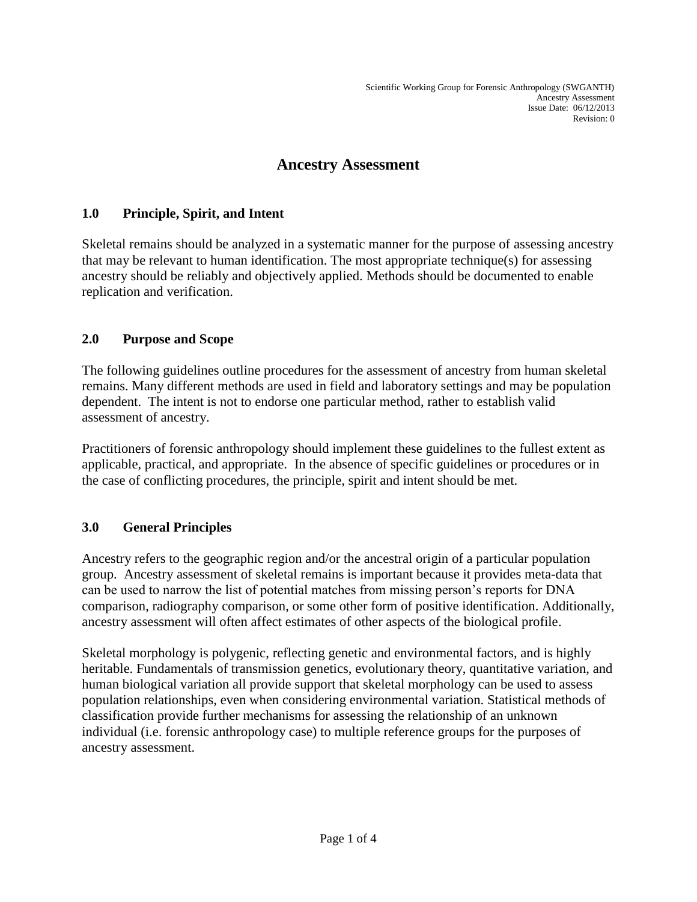# **Ancestry Assessment**

### **1.0 Principle, Spirit, and Intent**

Skeletal remains should be analyzed in a systematic manner for the purpose of assessing ancestry that may be relevant to human identification. The most appropriate technique(s) for assessing ancestry should be reliably and objectively applied. Methods should be documented to enable replication and verification.

### **2.0 Purpose and Scope**

The following guidelines outline procedures for the assessment of ancestry from human skeletal remains. Many different methods are used in field and laboratory settings and may be population dependent. The intent is not to endorse one particular method, rather to establish valid assessment of ancestry.

Practitioners of forensic anthropology should implement these guidelines to the fullest extent as applicable, practical, and appropriate. In the absence of specific guidelines or procedures or in the case of conflicting procedures, the principle, spirit and intent should be met.

### **3.0 General Principles**

Ancestry refers to the geographic region and/or the ancestral origin of a particular population group. Ancestry assessment of skeletal remains is important because it provides meta-data that can be used to narrow the list of potential matches from missing person's reports for DNA comparison, radiography comparison, or some other form of positive identification. Additionally, ancestry assessment will often affect estimates of other aspects of the biological profile.

Skeletal morphology is polygenic, reflecting genetic and environmental factors, and is highly heritable. Fundamentals of transmission genetics, evolutionary theory, quantitative variation, and human biological variation all provide support that skeletal morphology can be used to assess population relationships, even when considering environmental variation. Statistical methods of classification provide further mechanisms for assessing the relationship of an unknown individual (i.e. forensic anthropology case) to multiple reference groups for the purposes of ancestry assessment.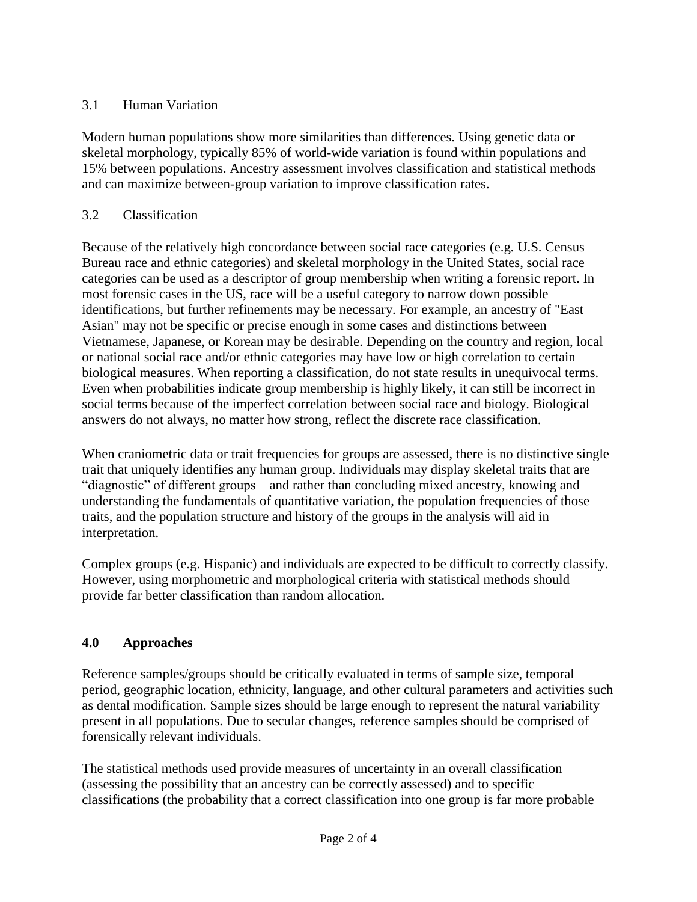## 3.1 Human Variation

Modern human populations show more similarities than differences. Using genetic data or skeletal morphology, typically 85% of world-wide variation is found within populations and 15% between populations. Ancestry assessment involves classification and statistical methods and can maximize between-group variation to improve classification rates.

## 3.2 Classification

Because of the relatively high concordance between social race categories (e.g. U.S. Census Bureau race and ethnic categories) and skeletal morphology in the United States, social race categories can be used as a descriptor of group membership when writing a forensic report. In most forensic cases in the US, race will be a useful category to narrow down possible identifications, but further refinements may be necessary. For example, an ancestry of "East Asian" may not be specific or precise enough in some cases and distinctions between Vietnamese, Japanese, or Korean may be desirable. Depending on the country and region, local or national social race and/or ethnic categories may have low or high correlation to certain biological measures. When reporting a classification, do not state results in unequivocal terms. Even when probabilities indicate group membership is highly likely, it can still be incorrect in social terms because of the imperfect correlation between social race and biology. Biological answers do not always, no matter how strong, reflect the discrete race classification.

When craniometric data or trait frequencies for groups are assessed, there is no distinctive single trait that uniquely identifies any human group. Individuals may display skeletal traits that are "diagnostic" of different groups – and rather than concluding mixed ancestry, knowing and understanding the fundamentals of quantitative variation, the population frequencies of those traits, and the population structure and history of the groups in the analysis will aid in interpretation.

Complex groups (e.g. Hispanic) and individuals are expected to be difficult to correctly classify. However, using morphometric and morphological criteria with statistical methods should provide far better classification than random allocation.

## **4.0 Approaches**

Reference samples/groups should be critically evaluated in terms of sample size, temporal period, geographic location, ethnicity, language, and other cultural parameters and activities such as dental modification. Sample sizes should be large enough to represent the natural variability present in all populations. Due to secular changes, reference samples should be comprised of forensically relevant individuals.

The statistical methods used provide measures of uncertainty in an overall classification (assessing the possibility that an ancestry can be correctly assessed) and to specific classifications (the probability that a correct classification into one group is far more probable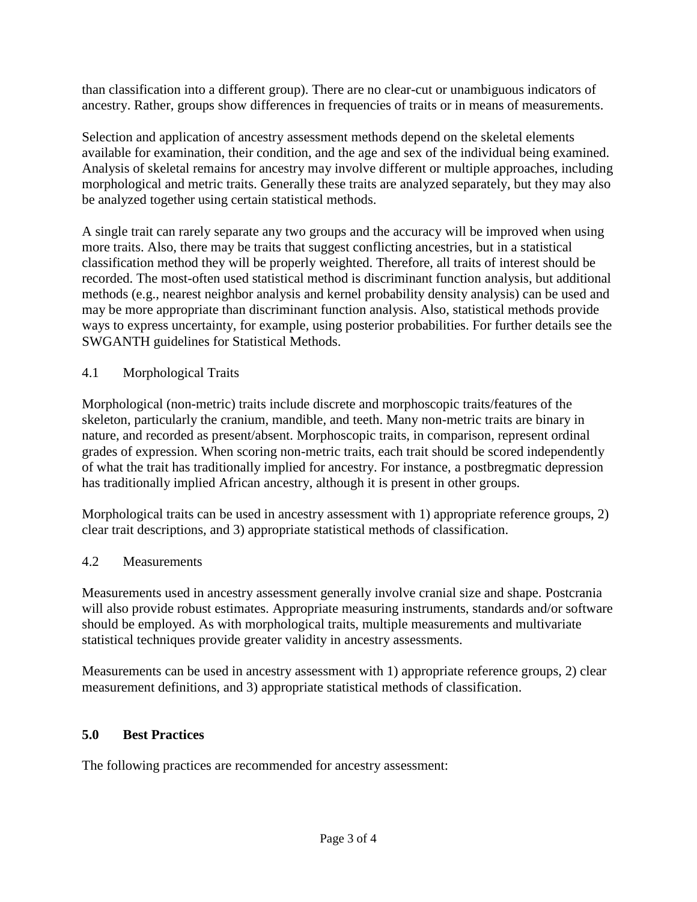than classification into a different group). There are no clear-cut or unambiguous indicators of ancestry. Rather, groups show differences in frequencies of traits or in means of measurements.

Selection and application of ancestry assessment methods depend on the skeletal elements available for examination, their condition, and the age and sex of the individual being examined. Analysis of skeletal remains for ancestry may involve different or multiple approaches, including morphological and metric traits. Generally these traits are analyzed separately, but they may also be analyzed together using certain statistical methods.

A single trait can rarely separate any two groups and the accuracy will be improved when using more traits. Also, there may be traits that suggest conflicting ancestries, but in a statistical classification method they will be properly weighted. Therefore, all traits of interest should be recorded. The most-often used statistical method is discriminant function analysis, but additional methods (e.g., nearest neighbor analysis and kernel probability density analysis) can be used and may be more appropriate than discriminant function analysis. Also, statistical methods provide ways to express uncertainty, for example, using posterior probabilities. For further details see the SWGANTH guidelines for Statistical Methods.

4.1 Morphological Traits

Morphological (non-metric) traits include discrete and morphoscopic traits/features of the skeleton, particularly the cranium, mandible, and teeth. Many non-metric traits are binary in nature, and recorded as present/absent. Morphoscopic traits, in comparison, represent ordinal grades of expression. When scoring non-metric traits, each trait should be scored independently of what the trait has traditionally implied for ancestry. For instance, a postbregmatic depression has traditionally implied African ancestry, although it is present in other groups.

Morphological traits can be used in ancestry assessment with 1) appropriate reference groups, 2) clear trait descriptions, and 3) appropriate statistical methods of classification.

## 4.2 Measurements

Measurements used in ancestry assessment generally involve cranial size and shape. Postcrania will also provide robust estimates. Appropriate measuring instruments, standards and/or software should be employed. As with morphological traits, multiple measurements and multivariate statistical techniques provide greater validity in ancestry assessments.

Measurements can be used in ancestry assessment with 1) appropriate reference groups, 2) clear measurement definitions, and 3) appropriate statistical methods of classification.

### **5.0 Best Practices**

The following practices are recommended for ancestry assessment: